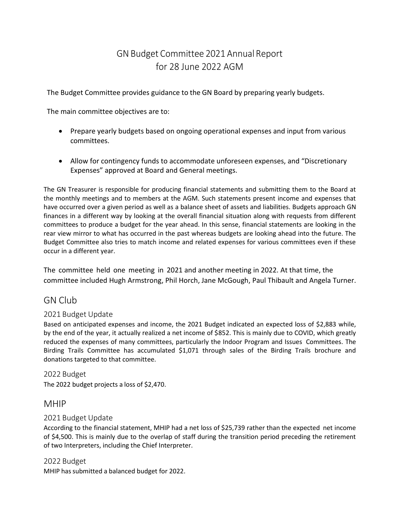# GN Budget Committee 2021 Annual Report for 28 June 2022 AGM

The Budget Committee provides guidance to the GN Board by preparing yearly budgets.

The main committee objectives are to:

- Prepare yearly budgets based on ongoing operational expenses and input from various committees.
- Allow for contingency funds to accommodate unforeseen expenses, and "Discretionary Expenses" approved at Board and General meetings.

The GN Treasurer is responsible for producing financial statements and submitting them to the Board at the monthly meetings and to members at the AGM. Such statements present income and expenses that have occurred over a given period as well as a balance sheet of assets and liabilities. Budgets approach GN finances in a different way by looking at the overall financial situation along with requests from different committees to produce a budget for the year ahead. In this sense, financial statements are looking in the rear view mirror to what has occurred in the past whereas budgets are looking ahead into the future. The Budget Committee also tries to match income and related expenses for various committees even if these occur in a different year.

The committee held one meeting in 2021 and another meeting in 2022. At that time, the committee included Hugh Armstrong, Phil Horch, Jane McGough, Paul Thibault and Angela Turner.

# GN Club

## 2021 Budget Update

Based on anticipated expenses and income, the 2021 Budget indicated an expected loss of \$2,883 while, by the end of the year, it actually realized a net income of \$852. This is mainly due to COVID, which greatly reduced the expenses of many committees, particularly the Indoor Program and Issues Committees. The Birding Trails Committee has accumulated \$1,071 through sales of the Birding Trails brochure and donations targeted to that committee.

#### 2022 Budget

The 2022 budget projects a loss of \$2,470.

# MHIP

## 2021 Budget Update

According to the financial statement, MHIP had a net loss of \$25,739 rather than the expected net income of \$4,500. This is mainly due to the overlap of staff during the transition period preceding the retirement of two Interpreters, including the Chief Interpreter.

## 2022 Budget

MHIP has submitted a balanced budget for 2022.